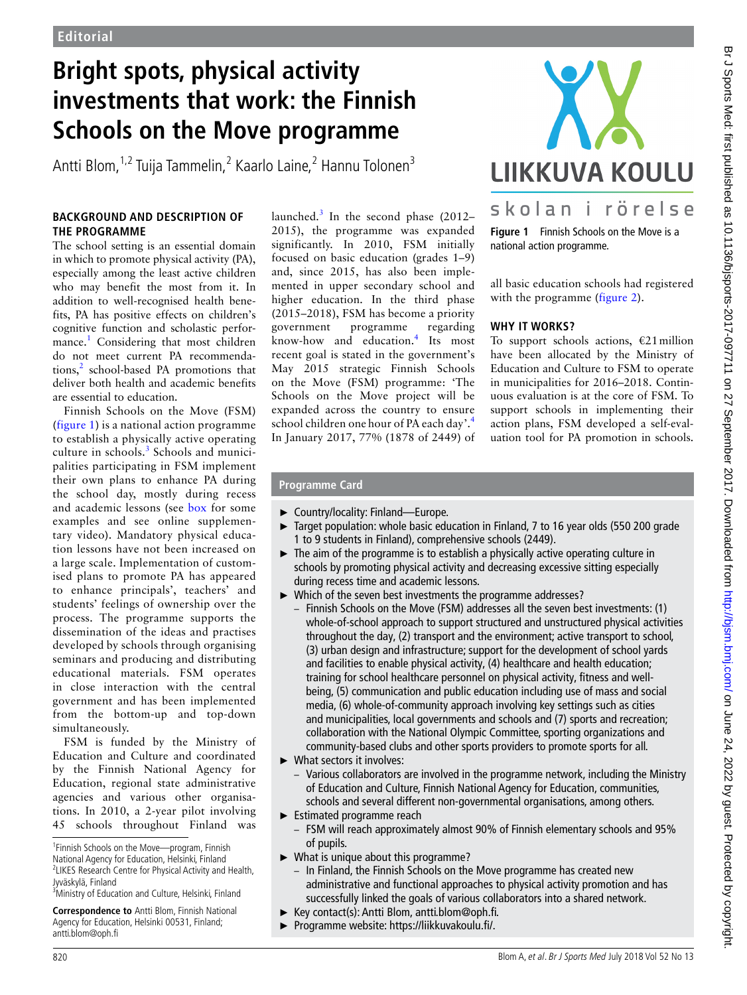# **Bright spots, physical activity investments that work: the Finnish Schools on the Move programme**

Antti Blom, <sup>1,2</sup> Tuija Tammelin, <sup>2</sup> Kaarlo Laine, <sup>2</sup> Hannu Tolonen<sup>3</sup>

#### **Background and description of the programme**

The school setting is an essential domain in which to promote physical activity (PA), especially among the least active children who may benefit the most from it. In addition to well-recognised health benefits, PA has positive effects on children's cognitive function and scholastic performance.<sup>1</sup> Considering that most children do not meet current PA recommendations, $<sup>2</sup>$  school-based PA promotions that</sup> deliver both health and academic benefits are essential to education.

Finnish Schools on the Move (FSM) (figure 1) is a national action programme to establish a physically active operating culture in schools.<sup>[3](#page-2-2)</sup> Schools and municipalities participating in FSM implement their own plans to enhance PA during the school day, mostly during recess and academic lessons (see box for some examples and see online [supplemen](https://dx.doi.org/10.1136/bjsports-2017-097711)tary [video\)](https://dx.doi.org/10.1136/bjsports-2017-097711). Mandatory physical education lessons have not been increased on a large scale. Implementation of customised plans to promote PA has appeared to enhance principals', teachers' and students' feelings of ownership over the process. The programme supports the dissemination of the ideas and practises developed by schools through organising seminars and producing and distributing educational materials. FSM operates in close interaction with the central government and has been implemented from the bottom-up and top-down simultaneously.

FSM is funded by the Ministry of Education and Culture and coordinated by the Finnish National Agency for Education, regional state administrative agencies and various other organisations. In 2010, a 2-year pilot involving 45 schools throughout Finland was

1 Finnish Schools on the Move—program, Finnish National Agency for Education, Helsinki, Finland <sup>2</sup> LIKES Research Centre for Physical Activity and Health,

Jyväskylä, Finland 3 Ministry of Education and Culture, Helsinki, Finland

**Correspondence to** Antti Blom, Finnish National Agency for Education, Helsinki 00531, Finland; antti.blom@oph.fi

launched.<sup>[3](#page-2-2)</sup> In the second phase (2012-2015), the programme was expanded significantly. In 2010, FSM initially focused on basic education (grades 1–9) and, since 2015, has also been implemented in upper secondary school and higher education. In the third phase (2015–2018), FSM has become a priority government programme regarding know-how and education.[4](#page-2-3) Its most recent goal is stated in the government's May 2015 strategic Finnish Schools on the Move (FSM) programme: 'The Schools on the Move project will be expanded across the country to ensure school children one hour of PA each day'.<sup>[4](#page-2-3)</sup> In January 2017, 77% (1878 of 2449) of



**Figure 1** Finnish Schools on the Move is a national action programme.

all basic education schools had registered with the programme (figure 2).

## **Why it works?**

To support schools actions,  $\epsilon$ 21 million have been allocated by the Ministry of Education and Culture to FSM to operate in municipalities for 2016–2018. Continuous evaluation is at the core of FSM. To support schools in implementing their action plans, FSM developed a self-evaluation tool for PA promotion in schools.

## **Programme Card**

- ► Country/locality: Finland—Europe.
- Target population: whole basic education in Finland, 7 to 16 year olds (550 200 grade 1 to 9 students in Finland), comprehensive schools (2449).
- ► The aim of the programme is to establish a physically active operating culture in schools by promoting physical activity and decreasing excessive sitting especially during recess time and academic lessons.
- ► Which of the seven best investments the programme addresses?
	- Finnish Schools on the Move (FSM) addresses all the seven best investments: (1) whole-of-school approach to support structured and unstructured physical activities throughout the day, (2) transport and the environment; active transport to school, (3) urban design and infrastructure; support for the development of school yards and facilities to enable physical activity, (4) healthcare and health education; training for school healthcare personnel on physical activity, fitness and wellbeing, (5) communication and public education including use of mass and social media, (6) whole-of-community approach involving key settings such as cities and municipalities, local governments and schools and (7) sports and recreation; collaboration with the National Olympic Committee, sporting organizations and community-based clubs and other sports providers to promote sports for all.
- ► What sectors it involves:
	- Various collaborators are involved in the programme network, including the Ministry of Education and Culture, Finnish National Agency for Education, communities, schools and several different non-governmental organisations, among others.
- ► Estimated programme reach
	- FSM will reach approximately almost 90% of Finnish elementary schools and 95% of pupils.
- ► What is unique about this programme?
	- In Finland, the Finnish Schools on the Move programme has created new administrative and functional approaches to physical activity promotion and has successfully linked the goals of various collaborators into a shared network.
- ► Key contact(s): Antti Blom, antti.blom@oph.fi.
- ► Programme website: [https://liikkuvakoulu.fi/.](https://liikkuvakoulu.fi/)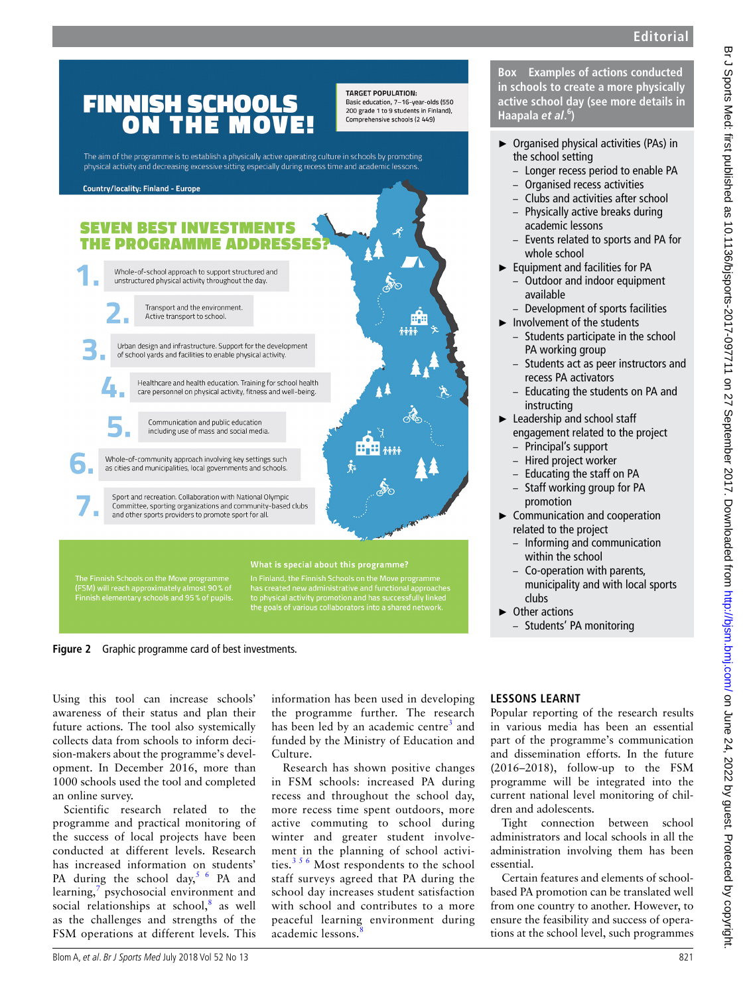

**Figure 2** Graphic programme card of best investments.

Using this tool can increase schools' awareness of their status and plan their future actions. The tool also systemically collects data from schools to inform decision-makers about the programme's development. In December 2016, more than 1000 schools used the tool and completed an online survey.

Scientific research related to the programme and practical monitoring of the success of local projects have been conducted at different levels. Research has increased information on students' PA during the school day,  $5/6$  PA and learning,<sup>[7](#page-2-5)</sup> psychosocial environment and social relationships at school, $8$  as well as the challenges and strengths of the FSM operations at different levels. This

information has been used in developing the programme further. The research has been led by an academic centre<sup>[3](#page-2-2)</sup> and funded by the Ministry of Education and Culture.

Research has shown positive changes in FSM schools: increased PA during recess and throughout the school day, more recess time spent outdoors, more active commuting to school during winter and greater student involvement in the planning of school activities. $356$  Most respondents to the school staff surveys agreed that PA during the school day increases student satisfaction with school and contributes to a more peaceful learning environment during academic lessons.

#### **Lessons learnt**

Popular reporting of the research results in various media has been an essential part of the programme's communication and dissemination efforts. In the future (2016–2018), follow-up to the FSM programme will be integrated into the current national level monitoring of children and adolescents.

Tight connection between school administrators and local schools in all the administration involving them has been essential.

Certain features and elements of schoolbased PA promotion can be translated well from one country to another. However, to ensure the feasibility and success of operations at the school level, such programmes

**Box Examples of actions conducted in schools to create a more physically active school day (see more details in** 

- ► Organised physical activities (PAs) in the school setting
	- Longer recess period to enable PA
	- Organised recess activities
	- Clubs and activities after school
	- Physically active breaks during
	- Events related to sports and PA for
- ► Equipment and facilities for PA
	- Outdoor and indoor equipment
	- Development of sports facilities
	- Students participate in the school
	- Students act as peer instructors and recess PA activators
	- Educating the students on PA and
- ► Leadership and school staff engagement related to the project
	- Principal's support
	- Hired project worker
	- Educating the staff on PA – Staff working group for PA
	-
- ► Communication and cooperation related to the project
	- Informing and communication within the school
	- Co-operation with parents, municipality and with local sports
	- Students' PA monitoring